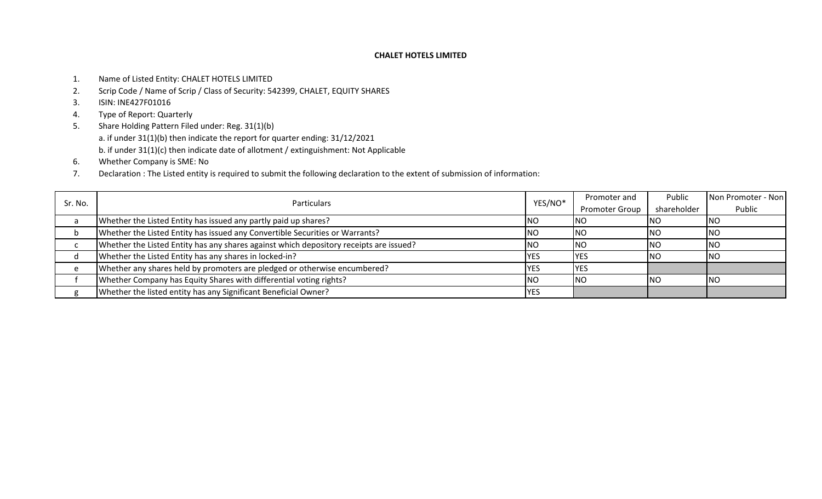- 1. Name of Listed Entity: CHALET HOTELS LIMITED
- 2. Scrip Code / Name of Scrip / Class of Security: 542399, CHALET, EQUITY SHARES
- 3. ISIN: INE427F01016
- 4. Type of Report: Quarterly
- 5. Share Holding Pattern Filed under: Reg. 31(1)(b) a. if under 31(1)(b) then indicate the report for quarter ending: 31/12/2021 b. if under 31(1)(c) then indicate date of allotment / extinguishment: Not Applicable
- 6. Whether Company is SME: No
- 7. Declaration : The Listed entity is required to submit the following declaration to the extent of submission of information:

|         |                                                                                        |             | Promoter and          | Public      | Non Promoter - Non |
|---------|----------------------------------------------------------------------------------------|-------------|-----------------------|-------------|--------------------|
| Sr. No. | <b>Particulars</b>                                                                     | YES/NO*     | <b>Promoter Group</b> | shareholder | Public             |
|         | Whether the Listed Entity has issued any partly paid up shares?                        | <b>INO</b>  | <b>INO</b>            | <b>INO</b>  | <b>INO</b>         |
|         | Whether the Listed Entity has issued any Convertible Securities or Warrants?           | <b>INO</b>  | <b>INO</b>            | <b>INO</b>  | <b>INO</b>         |
|         | Whether the Listed Entity has any shares against which depository receipts are issued? | <b>INO</b>  | <b>INO</b>            | <b>INO</b>  | <b>INO</b>         |
|         | Whether the Listed Entity has any shares in locked-in?                                 | <b>IYES</b> | <b>IYES</b>           | <b>INO</b>  | INO.               |
|         | Whether any shares held by promoters are pledged or otherwise encumbered?              | <b>IYES</b> | <b>IYES</b>           |             |                    |
|         | Whether Company has Equity Shares with differential voting rights?                     | <b>INO</b>  | <b>INO</b>            | <b>INO</b>  | <b>INO</b>         |
|         | Whether the listed entity has any Significant Beneficial Owner?                        | <b>YES</b>  |                       |             |                    |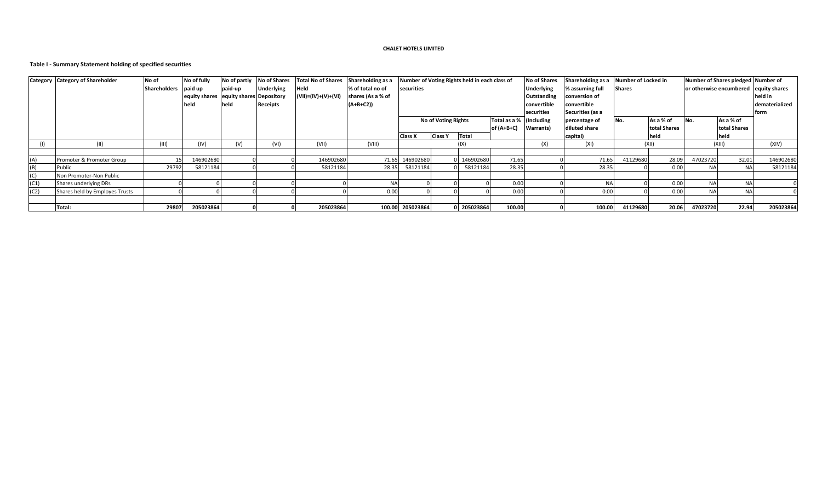## **Table I - Summary Statement holding of specified securities**

|      | <b>Category Category of Shareholder</b> | No of                | No of fully                            | No of partly | <b>No of Shares</b> | <b>Total No of Shares</b> | Shareholding as a | Number of Voting Rights held in each class of |                            |             |                         | <b>No of Shares</b> | Shareholding as a Number of Locked in |               |              | Number of Shares pledged Number of    |              |           |  |
|------|-----------------------------------------|----------------------|----------------------------------------|--------------|---------------------|---------------------------|-------------------|-----------------------------------------------|----------------------------|-------------|-------------------------|---------------------|---------------------------------------|---------------|--------------|---------------------------------------|--------------|-----------|--|
|      |                                         | Shareholders paid up |                                        | paid-up      | <b>Underlying</b>   | Held                      | % of total no of  | securities                                    |                            |             |                         | <b>Underlying</b>   | % assuming full                       | <b>Shares</b> |              | or otherwise encumbered equity shares |              |           |  |
|      |                                         |                      | equity shares equity shares Depository |              |                     | (VII)=(IV)+(V)+(VI        | shares (As a % of |                                               |                            |             |                         | Outstanding         | conversion of                         |               |              |                                       |              | held in   |  |
|      |                                         |                      | held                                   | held         | Receipts            |                           | $(A+B+C2)$        |                                               |                            |             |                         | convertible         | convertible                           |               |              |                                       |              |           |  |
|      |                                         |                      |                                        |              |                     |                           |                   |                                               |                            |             |                         | securities          | Securities (as a                      |               |              |                                       |              | form      |  |
|      |                                         |                      |                                        |              |                     |                           |                   |                                               | <b>No of Voting Rights</b> |             | Total as a % (Including |                     | percentage of                         | No.           | As a % of    | No.                                   | As a % of    |           |  |
|      |                                         |                      |                                        |              |                     |                           |                   |                                               |                            |             | $of (A+B+C)$            | Warrants)           | diluted share                         |               | total Shares |                                       | total Shares |           |  |
|      |                                         |                      |                                        |              |                     |                           |                   | <b>Class X</b>                                | <b>Class Y</b>             | Total       |                         |                     | capital)                              |               | held         |                                       | held         |           |  |
|      |                                         | (III)                | (IV)                                   | (V)          | (VI)                | (VII)                     | (VIII)            |                                               |                            | (IX)        |                         | (X)                 | (XI)                                  |               | (XII)        |                                       | (XIII)       | (XIV)     |  |
|      |                                         |                      |                                        |              |                     |                           |                   |                                               |                            |             |                         |                     |                                       |               |              |                                       |              |           |  |
| (A)  | Promoter & Promoter Group               | 15                   | 146902680                              |              |                     | 146902680                 |                   | 71.65 146902680                               |                            | 146902680   | 71.65                   |                     | 71.65                                 | 41129680      | 28.09        | 47023720                              | 32.01        | 146902680 |  |
| (B)  | Public                                  | 29792                | 58121184                               |              |                     | 58121184                  | 28.35             | 58121184                                      |                            | 58121184    | 28.35                   |                     | 28.35                                 |               | 0.00         | <b>NA</b>                             | <b>NA</b>    | 58121184  |  |
| (C)  | Non Promoter-Non Public                 |                      |                                        |              |                     |                           |                   |                                               |                            |             |                         |                     |                                       |               |              |                                       |              |           |  |
| (C1) | Shares underlying DRs                   |                      |                                        |              |                     |                           | NΑ                |                                               |                            |             | 0.00                    |                     | <b>NA</b>                             |               | 0.00         | <b>NA</b>                             | <b>NA</b>    |           |  |
| (C2) | Shares held by Employes Trusts          |                      |                                        |              |                     |                           | 0.00              |                                               |                            |             | 0.00                    |                     | 0.00                                  |               | 0.00         | <b>NA</b>                             | <b>NA</b>    |           |  |
|      |                                         |                      |                                        |              |                     |                           |                   |                                               |                            |             |                         |                     |                                       |               |              |                                       |              |           |  |
|      | Total:                                  | 29807                | 205023864                              |              |                     | 205023864                 |                   | 100.00 205023864                              |                            | 0 205023864 | 100.00                  |                     | 100.00                                | 41129680      | 20.06        | 47023720                              | 22.94        | 205023864 |  |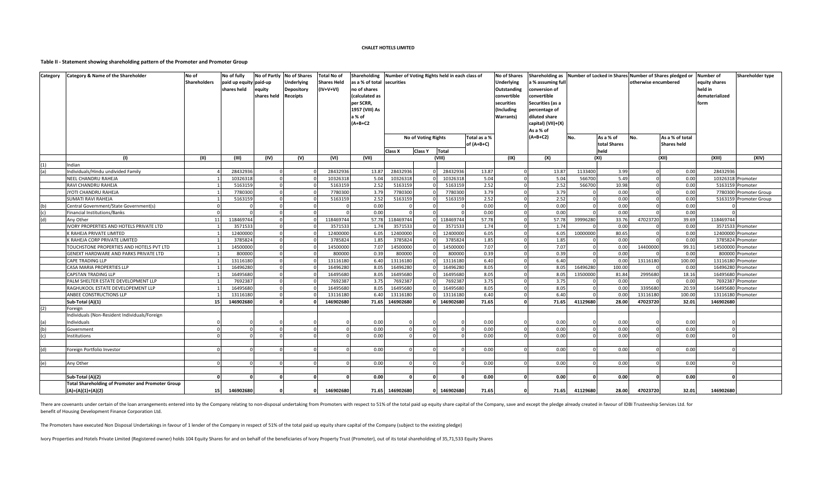#### **Table II - Statement showing shareholding pattern of the Promoter and Promoter Group**

| <b>Category</b> | <b>Category &amp; Name of the Shareholder</b>                                | No of               | No of fully                           | No of Partly          | <b>No of Shares</b>                                       | <b>Total No of</b>                | Shareholding                                                                                          |                 |                                              | Number of Voting Rights held in each class of |                            | <b>No of Shares</b>                                                                                                                                                                                                                          | Shareholding as Number of Locked in Shares Number of Shares pledged or |          |                                   |                      |                                       | <b>Number of</b>                                   | Shareholder type       |
|-----------------|------------------------------------------------------------------------------|---------------------|---------------------------------------|-----------------------|-----------------------------------------------------------|-----------------------------------|-------------------------------------------------------------------------------------------------------|-----------------|----------------------------------------------|-----------------------------------------------|----------------------------|----------------------------------------------------------------------------------------------------------------------------------------------------------------------------------------------------------------------------------------------|------------------------------------------------------------------------|----------|-----------------------------------|----------------------|---------------------------------------|----------------------------------------------------|------------------------|
|                 |                                                                              | <b>Shareholders</b> | paid up equity paid-up<br>shares held | equity<br>shares held | <b>Underlying</b><br><b>Depository</b><br><b>Receipts</b> | <b>Shares Held</b><br>$(IV+V+VI)$ | as a % of total<br>no of shares<br>calculated as<br>per SCRR<br>1957 (VIII) As<br>a % of<br>$(A+B+C2$ | securities      |                                              |                                               |                            | <b>Underlying</b><br>a % assuming full<br>Outstanding<br>conversion of<br>convertible<br>onvertible:<br>securities<br>Securities (as a<br>(Including<br>percentage of<br>diluted share<br><b>Warrants</b><br>capital) (VII)+(X)<br>As a % of |                                                                        |          |                                   | otherwise encumbered |                                       | equity shares<br>held in<br>dematerialized<br>form |                        |
|                 |                                                                              |                     |                                       |                       |                                                           |                                   |                                                                                                       | Class X         | <b>No of Voting Rights</b><br><b>Class Y</b> | Total                                         | Total as a %<br>of (A+B+C) |                                                                                                                                                                                                                                              | $(A+B+C2)$                                                             | No.      | As a % of<br>total Shares<br>held | No.                  | As a % of total<br><b>Shares held</b> |                                                    |                        |
|                 | (1)                                                                          | (II)                | (III)                                 | (IV)                  | (V)                                                       | (VI)                              | (VII)                                                                                                 |                 |                                              | (VIII)                                        |                            | (IX)                                                                                                                                                                                                                                         | (X)                                                                    |          | (XI)                              |                      | (XII)                                 | (XIII)                                             | (XIV)                  |
| (1)             | Indian                                                                       |                     |                                       |                       |                                                           |                                   |                                                                                                       |                 |                                              |                                               |                            |                                                                                                                                                                                                                                              |                                                                        |          |                                   |                      |                                       |                                                    |                        |
| (a)             | Individuals/Hindu undivided Family                                           |                     | 28432936                              | $\Omega$              |                                                           | 28432936                          | 13.87                                                                                                 | 28432936        |                                              | 28432936                                      | 13.87                      |                                                                                                                                                                                                                                              | 13.87                                                                  | 1133400  | 3.99                              | $\Omega$             | 0.00                                  | 28432936                                           |                        |
|                 | <b>NEEL CHANDRU RAHEJA</b>                                                   |                     | 10326318                              | $\Omega$              |                                                           | 10326318                          | 5.04                                                                                                  | 10326318        |                                              | 10326318                                      | 5.04                       |                                                                                                                                                                                                                                              | 5.04                                                                   | 566700   | 5.49                              | $\Omega$             | 0.00                                  | 10326318 Promoter                                  |                        |
|                 | RAVI CHANDRU RAHEJA                                                          |                     | 5163159                               | $\Omega$              |                                                           | 5163159                           | 2.52                                                                                                  | 5163159         |                                              | 5163159                                       | 2.52                       |                                                                                                                                                                                                                                              | 2.52                                                                   | 566700   | 10.98                             | $\mathbf 0$          | 0.00                                  |                                                    | 5163159 Promoter       |
|                 | JYOTI CHANDRU RAHEJA                                                         |                     | 7780300                               | $\Omega$              |                                                           | 7780300                           | 3.79                                                                                                  | 7780300         |                                              | 7780300                                       | 3.79                       |                                                                                                                                                                                                                                              | 3.79                                                                   |          | 0.00                              | $\mathbf 0$          | 0.00                                  |                                                    | 7780300 Promoter Group |
|                 | <b>SUMATI RAVI RAHEJA</b>                                                    |                     | 5163159                               |                       |                                                           | 5163159                           | 2.52                                                                                                  | 5163159         |                                              | 5163159                                       | 2.52                       |                                                                                                                                                                                                                                              | 2.52                                                                   |          | 0.00                              | $\Omega$             | 0.00                                  |                                                    | 5163159 Promoter Group |
| (b)             | Central Government/State Government(s)                                       |                     |                                       |                       |                                                           |                                   | 0.00                                                                                                  |                 |                                              |                                               | 0.00                       |                                                                                                                                                                                                                                              | 0.00                                                                   |          | 0.00                              | $\Omega$             | 0.00                                  |                                                    |                        |
| (c)             | <b>Financial Institutions/Banks</b>                                          |                     |                                       | $\Omega$              |                                                           |                                   | 0.00                                                                                                  |                 |                                              |                                               | 0.00                       |                                                                                                                                                                                                                                              | 0.00                                                                   |          | 0.00                              | $\Omega$             | 0.00                                  |                                                    |                        |
| (d)             | Any Other                                                                    | 11                  | 118469744                             | $\Omega$              |                                                           | 118469744                         |                                                                                                       | 57.78 118469744 |                                              | 118469744                                     | 57.78                      |                                                                                                                                                                                                                                              | 57.78                                                                  | 39996280 | 33.76                             | 47023720             | 39.69                                 | 118469744                                          |                        |
|                 | IVORY PROPERTIES AND HOTELS PRIVATE LTD                                      |                     | 3571533                               | $\Omega$              |                                                           | 3571533                           | 1.74                                                                                                  | 3571533         |                                              | 3571533                                       | 1.74                       |                                                                                                                                                                                                                                              | 1.74                                                                   |          | 0.00                              | $\Omega$             | 0.00                                  |                                                    | 3571533 Promoter       |
|                 | K RAHEJA PRIVATE LIMITED                                                     |                     | 12400000                              | $\Omega$              |                                                           | 12400000                          | 6.05                                                                                                  | 12400000        |                                              | 12400000                                      | 6.05                       |                                                                                                                                                                                                                                              | 6.05                                                                   | 10000000 | 80.65                             | $\mathbf 0$          | 0.00                                  | 12400000 Promoter                                  |                        |
|                 | K RAHEJA CORP PRIVATE LIMITED                                                |                     | 3785824                               | $\Omega$              |                                                           | 3785824                           | 1.85                                                                                                  | 3785824         |                                              | 3785824                                       | 1.85                       |                                                                                                                                                                                                                                              | 1.85                                                                   |          | 0.00                              | $\Omega$             | 0.00                                  |                                                    | 3785824 Promoter       |
|                 | TOUCHSTONE PROPERTIES AND HOTELS PVT LTD                                     |                     | 14500000                              |                       |                                                           | 14500000                          | 7.07                                                                                                  | 14500000        |                                              | 14500000                                      | 7.07                       |                                                                                                                                                                                                                                              | 7.07                                                                   |          | 0.00                              | 14400000             | 99.31                                 | 14500000 Promoter                                  |                        |
|                 | GENEXT HARDWARE AND PARKS PRIVATE LTD                                        |                     | 800000                                | $\Omega$              |                                                           | 800000                            | 0.39                                                                                                  | 800000          |                                              | 800000                                        | 0.39                       |                                                                                                                                                                                                                                              | 0.39                                                                   |          | 0.00                              |                      | 0.00                                  |                                                    | 800000 Promoter        |
|                 | <b>CAPE TRADING LLP</b>                                                      |                     | 13116180                              | $\Omega$              |                                                           | 13116180                          | 6.40                                                                                                  | 13116180        |                                              | 13116180                                      | 6.40                       |                                                                                                                                                                                                                                              | 6.40                                                                   |          | 0.00                              | 13116180             | 100.00                                | 13116180 Promoter                                  |                        |
|                 | CASA MARIA PROPERTIES LLP                                                    |                     | 16496280                              | $\Omega$              |                                                           | 16496280                          | 8.05                                                                                                  | 16496280        |                                              | 16496280                                      | 8.05                       |                                                                                                                                                                                                                                              | 8.05                                                                   | 16496280 | 100.00                            | $\Omega$             | 0.00                                  | 16496280 Promoter                                  |                        |
|                 | <b>CAPSTAN TRADING LLP</b>                                                   |                     | 16495680                              | $\Omega$              |                                                           | 16495680                          | 8.05                                                                                                  | 16495680        |                                              | 16495680                                      | 8.05                       |                                                                                                                                                                                                                                              | 8.05                                                                   | 13500000 | 81.84                             | 2995680              | 18.16                                 | 16495680 Promoter                                  |                        |
|                 | PALM SHELTER ESTATE DEVELOPMENT LLP                                          |                     | 7692387                               |                       |                                                           | 769238                            | 3.75                                                                                                  | 769238          |                                              | 7692387                                       | 3.75                       |                                                                                                                                                                                                                                              | 3.75                                                                   |          | 0.00                              |                      | 0.00                                  |                                                    | 7692387 Promoter       |
|                 | RAGHUKOOL ESTATE DEVELOPEMENT LLP                                            |                     | 16495680                              |                       |                                                           | 16495680                          | 8.05                                                                                                  | 16495680        |                                              | 16495680                                      | 8.05                       |                                                                                                                                                                                                                                              | 8.05                                                                   |          | 0.0                               | 3395680              | 20.59                                 | 16495680 Promoter                                  |                        |
|                 | ANBEE CONSTRUCTIONS LLP                                                      |                     | 13116180                              |                       |                                                           | 13116180                          | 6.40                                                                                                  | 13116180        |                                              | 13116180                                      | 6.40                       |                                                                                                                                                                                                                                              | 6.40                                                                   |          | 0.00                              | 13116180             | 100.00                                | 13116180 Promoter                                  |                        |
|                 | Sub-Total (A)(1)                                                             | 15                  | 146902680                             |                       | <sub>0</sub>                                              | 146902680                         |                                                                                                       | 71.65 146902680 |                                              | 146902680                                     | 71.65                      |                                                                                                                                                                                                                                              | 71.65                                                                  | 41129680 | 28.00                             | 47023720             | 32.01                                 | 146902680                                          |                        |
| (2)             | Foreign                                                                      |                     |                                       |                       |                                                           |                                   |                                                                                                       |                 |                                              |                                               |                            |                                                                                                                                                                                                                                              |                                                                        |          |                                   |                      |                                       |                                                    |                        |
|                 | Individuals (Non-Resident Individuals/Foreign                                |                     |                                       |                       |                                                           |                                   |                                                                                                       |                 |                                              |                                               |                            |                                                                                                                                                                                                                                              |                                                                        |          |                                   |                      |                                       |                                                    |                        |
| (a)             | Individuals                                                                  |                     |                                       |                       |                                                           |                                   | 0.00                                                                                                  |                 |                                              | $\Omega$                                      | 0.00                       |                                                                                                                                                                                                                                              | 0.00                                                                   |          | 0.00                              |                      | 0.00                                  |                                                    |                        |
| (b)             | Government                                                                   |                     |                                       |                       |                                                           |                                   | 0.00                                                                                                  |                 |                                              |                                               | 0.00                       |                                                                                                                                                                                                                                              | 0.00                                                                   |          | 0.00                              | $\Omega$             | 0.00                                  |                                                    |                        |
| (c)             | Institutions                                                                 |                     |                                       |                       |                                                           |                                   | 0.00                                                                                                  |                 |                                              |                                               | 0.00                       |                                                                                                                                                                                                                                              | 0.00                                                                   |          | 0.00                              |                      | 0.00                                  |                                                    |                        |
|                 |                                                                              |                     |                                       |                       |                                                           |                                   |                                                                                                       |                 |                                              |                                               |                            |                                                                                                                                                                                                                                              |                                                                        |          |                                   |                      |                                       |                                                    |                        |
| (d)             | Foreign Portfolio Investor                                                   |                     |                                       |                       |                                                           |                                   | 0.00                                                                                                  |                 |                                              |                                               | 0.00                       |                                                                                                                                                                                                                                              | 0.00                                                                   |          | 0.00                              | $\Omega$             | 0.00                                  |                                                    |                        |
|                 |                                                                              |                     |                                       |                       |                                                           |                                   |                                                                                                       |                 |                                              |                                               |                            |                                                                                                                                                                                                                                              |                                                                        |          |                                   | $\Omega$             |                                       |                                                    |                        |
| (e)             | Any Other                                                                    |                     |                                       |                       |                                                           |                                   | 0.00                                                                                                  |                 |                                              |                                               | 0.00                       |                                                                                                                                                                                                                                              | 0.00                                                                   |          | 0.00                              |                      | 0.00                                  |                                                    |                        |
|                 |                                                                              |                     |                                       |                       |                                                           |                                   | 0.00                                                                                                  |                 |                                              |                                               | 0.00                       |                                                                                                                                                                                                                                              | 0.00                                                                   |          | 0.00                              |                      | 0.00                                  |                                                    |                        |
|                 | Sub-Total (A)(2)<br><b>Total Shareholding of Promoter and Promoter Group</b> |                     |                                       |                       |                                                           |                                   |                                                                                                       |                 |                                              |                                               |                            |                                                                                                                                                                                                                                              |                                                                        |          |                                   |                      |                                       |                                                    |                        |
|                 | $(A)=(A)(1)+(A)(2)$                                                          | 15                  | 146902680                             |                       | n.                                                        | 146902680                         |                                                                                                       | 71.65 146902680 |                                              | 0 146902680                                   | 71.65                      |                                                                                                                                                                                                                                              | 71.65                                                                  | 41129680 | 28.00                             | 47023720             | 32.01                                 | 146902680                                          |                        |

There are covenants under certain of the loan arrangements entered into by the Company relating to non-disposal undertaking from Promoters with respect to 51% of the total paid up equity share capital of the Company, save benefit of Housing Development Finance Corporation Ltd.

The Promoters have executed Non Disposal Undertakings in favour of 1 lender of the Company in respect of 51% of the total paid up equity share capital of the Company (subject to the existing pledge)

Ivory Properties and Hotels Private Limited (Registered owner) holds 104 Equity Shares for and on behalf of the beneficiaries of Ivory Property Trust (Promoter), out of its total shareholding of 35,71,533 Equity Shares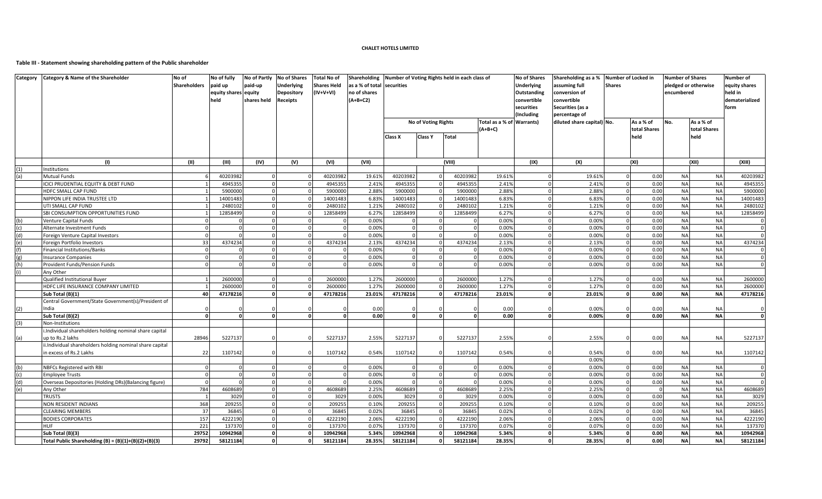### **Table III - Statement showing shareholding pattern of the Public shareholder**

| <b>Shareholders</b><br>paid up<br>paid-up<br><b>Underlying</b><br>as a % of total securities<br><b>Underlying</b><br>assuming full<br><b>Shares</b><br><b>Shares Held</b><br>no of shares<br>equity shares equity<br>Depository<br>(IV+V+VI)<br>Outstanding<br>conversion of<br>encumbered<br>$(A+B+C2)$<br>held<br>shares held<br><b>Receipts</b><br>convertible<br>convertible<br>securities<br>Securities (as a<br>Including<br>percentage of<br>diluted share capital) No.<br>As a % of<br>No.<br><b>No of Voting Rights</b><br>Total as a % of Warrants)<br>$(A+B+C)$<br>total Shares<br>held<br>Class X<br><b>Class Y</b><br>Total<br>held<br>(1)<br>(II)<br>(III)<br>(VIII)<br>(IX)<br>(X)<br>(XI)<br>(XII)<br>(IV)<br>(V)<br>(VI)<br>(VII)<br>(1)<br>Institutions<br>40203982<br>40203982<br>19.61%<br>19.61%<br>0.00<br><b>Mutual Funds</b><br>40203982<br>40203982<br>19.61%<br>$\Omega$<br><b>NA</b><br>(a)<br><b>NA</b><br>ICICI PRUDENTIAL EQUITY & DEBT FUND<br>494535<br>4945355<br>2.41%<br>494535<br>4945355<br>2.41%<br>2.41%<br>0.00<br>$\Omega$<br>$\Omega$<br>2.88%<br>590000<br>5900000<br>2.88%<br>2.88%<br>0.00<br><b>NA</b><br>HDFC SMALL CAP FUND<br>590000<br>590000<br>$\Omega$<br><b>NA</b><br>1400148<br>14001483<br>6.83%<br>14001483<br>14001483<br>6.83%<br>6.83%<br>0.00<br>NIPPON LIFE INDIA TRUSTEE LTD<br>$\Omega$<br>$\Omega$<br>0.00<br><b>NA</b><br>2480102<br>1.21%<br>2480102<br>2480102<br>1.21%<br>1.21%<br>UTI SMALL CAP FUND<br>248010<br>$\Omega$<br>12858499<br>6.27%<br>12858499<br>6.27%<br>6.27%<br>0.00<br><b>NA</b><br>SBI CONSUMPTION OPPORTUNITIES FUND<br>12858499<br>12858499<br>$\Omega$<br>$\Omega$<br>$\cap$<br>0.00%<br>0.00%<br>0.00<br><b>NA</b><br>0.00%<br>Venture Capital Funds<br>$\Omega$<br>(b)<br>$\Omega$<br>$\Omega$<br>0.00<br><b>NA</b><br>0.00%<br>0.00%<br>0.00%<br>(c)<br>Alternate Investment Funds<br>$\Omega$<br>$\Omega$<br>$\Omega$<br>$\Omega$<br>$\Omega$<br>$\Omega$<br><sup>n</sup><br>0.00<br><b>NA</b><br>0.00%<br>0.00%<br>0.00%<br>Foreign Venture Capital Investors<br>(d)<br>33<br>4374234<br>4374234<br>2.13%<br>2.13%<br>0.00<br><b>NA</b><br>Foreign Portfolio Investors<br>4374234<br>2.13%<br>4374234<br>(e)<br>0.00%<br>0.00%<br>0.00%<br>0.00<br><b>NA</b><br><b>Financial Institutions/Banks</b><br>0.00%<br>0.00<br>0.00%<br>0.00%<br><b>NA</b><br><b>Insurance Companies</b><br>(g)<br>0.00%<br>0.00%<br>0.00%<br>0.00<br><b>NA</b><br>(h)<br>Provident Funds/Pension Funds<br>Any Other<br>2600000<br>1.27%<br>2600000<br>2600000<br>Qualified Institutional Buyer<br>2600000<br>1.27%<br>1.27%<br>0.00<br><b>NA</b><br>HDFC LIFE INSURANCE COMPANY LIMITED<br>260000<br>2600000<br>1.27%<br>2600000<br>2600000<br>1.27%<br>1.27%<br>0.00<br><b>NA</b><br>$\Omega$<br>$\Omega$<br>23.01%<br><b>NA</b><br>40<br>47178216<br>47178216<br>23.01%<br>23.01%<br>0.00<br>Sub Total (B)(1)<br>47178216<br>47178216<br>ΩI<br>$\Omega$<br>$\mathbf{0}$<br>Central Government/State Government(s)/President of<br>0.00%<br>(2)<br>India<br>0.00<br>0.00<br>0.00<br>NA<br>0.00<br><b>NA</b><br>Sub Total (B)(2)<br>$\Omega$<br>0.00<br>$\mathbf{0}$<br>0.00<br>0.00%<br>$\Omega$<br>$\Omega$<br>$\Omega$<br>$\Omega$<br>$\Omega$<br>n<br>Non-Institutions<br>(3)<br>i.Individual shareholders holding nominal share capital<br>28946<br>2.55%<br>2.55%<br>up to Rs.2 lakhs<br>522713<br>5227137<br>5227137<br>5227137<br>2.55%<br>0.00<br><b>NA</b><br>(a)<br>ii.Individual shareholders holding nominal share capital<br>in excess of Rs.2 Lakhs<br>22<br>1107142<br>1107142<br>0.54%<br>1107142<br>1107142<br>0.54%<br>0.54%<br>0.00<br><b>NA</b><br>0.00%<br>NBFCs Registered with RBI<br>0.00%<br>0.00%<br>0.00%<br>0.00<br><b>NA</b><br>(b)<br>0.00%<br>0.00%<br>0.00<br><b>NA</b><br>$\Omega$<br>0.00%<br>(c)<br>$\Omega$<br><b>Employee Trusts</b><br>0.00%<br>0.00%<br>0.00%<br>0.00<br><b>NA</b><br>Overseas Depositories (Holding DRs)(Balancing figure)<br>$\mathbf 0$<br>$\Omega$<br>(d)<br>784<br>4608689<br>2.25%<br>4608689<br>2.25%<br><b>NA</b><br>(e)<br>4608689<br>$\Omega$<br>4608689<br>2.25%<br>$\overline{0}$<br>Any Other<br>$\Omega$<br>0.00%<br>0.00%<br>0.00<br><b>NA</b><br><b>TRUSTS</b><br>3029<br>3029<br>3029<br>3029<br>0.00%<br>$\Omega$<br>$\overline{1}$<br>$\Omega$<br>368<br><b>NA</b><br>209255<br>209255<br>0.10%<br>209255<br>209255<br>0.10%<br>0.10%<br>0.00<br><b>NON RESIDENT INDIANS</b><br>$\Omega$<br>$\mathbf{0}$<br>37<br>36845<br>36845<br>36845<br>0.00<br><b>NA</b><br><b>CLEARING MEMBERS</b><br>36845<br>0.02%<br>0.02%<br>0.02%<br>$\Omega$<br>$\Omega$<br>$\Omega$<br>157<br>4222190<br>4222190<br>4222190<br>4222190<br>2.06%<br>2.06%<br>0.00<br><b>NA</b><br><b>BODIES CORPORATES</b><br>2.06%<br>$\Omega$<br>$\Omega$<br>$\Omega$ | <b>Number of Shares</b><br>pledged or otherwise | Number of<br>equity shares |
|--------------------------------------------------------------------------------------------------------------------------------------------------------------------------------------------------------------------------------------------------------------------------------------------------------------------------------------------------------------------------------------------------------------------------------------------------------------------------------------------------------------------------------------------------------------------------------------------------------------------------------------------------------------------------------------------------------------------------------------------------------------------------------------------------------------------------------------------------------------------------------------------------------------------------------------------------------------------------------------------------------------------------------------------------------------------------------------------------------------------------------------------------------------------------------------------------------------------------------------------------------------------------------------------------------------------------------------------------------------------------------------------------------------------------------------------------------------------------------------------------------------------------------------------------------------------------------------------------------------------------------------------------------------------------------------------------------------------------------------------------------------------------------------------------------------------------------------------------------------------------------------------------------------------------------------------------------------------------------------------------------------------------------------------------------------------------------------------------------------------------------------------------------------------------------------------------------------------------------------------------------------------------------------------------------------------------------------------------------------------------------------------------------------------------------------------------------------------------------------------------------------------------------------------------------------------------------------------------------------------------------------------------------------------------------------------------------------------------------------------------------------------------------------------------------------------------------------------------------------------------------------------------------------------------------------------------------------------------------------------------------------------------------------------------------------------------------------------------------------------------------------------------------------------------------------------------------------------------------------------------------------------------------------------------------------------------------------------------------------------------------------------------------------------------------------------------------------------------------------------------------------------------------------------------------------------------------------------------------------------------------------------------------------------------------------------------------------------------------------------------------------------------------------------------------------------------------------------------------------------------------------------------------------------------------------------------------------------------------------------------------------------------------------------------------------------------------------------------------------------------------------------------------------------------------------------------------------------------------------------------------------------------------------------------------------------------------------------------------------------------------------------------------------------------------------------------------------------------------------------------------------------------------------------------------------------------------------------------------------------------------------------------------------------------------------------------------------------------------------------------------------------------------------------|-------------------------------------------------|----------------------------|
|                                                                                                                                                                                                                                                                                                                                                                                                                                                                                                                                                                                                                                                                                                                                                                                                                                                                                                                                                                                                                                                                                                                                                                                                                                                                                                                                                                                                                                                                                                                                                                                                                                                                                                                                                                                                                                                                                                                                                                                                                                                                                                                                                                                                                                                                                                                                                                                                                                                                                                                                                                                                                                                                                                                                                                                                                                                                                                                                                                                                                                                                                                                                                                                                                                                                                                                                                                                                                                                                                                                                                                                                                                                                                                                                                                                                                                                                                                                                                                                                                                                                                                                                                                                                                                                                                                                                                                                                                                                                                                                                                                                                                                                                                                                                                                                            |                                                 | held in                    |
|                                                                                                                                                                                                                                                                                                                                                                                                                                                                                                                                                                                                                                                                                                                                                                                                                                                                                                                                                                                                                                                                                                                                                                                                                                                                                                                                                                                                                                                                                                                                                                                                                                                                                                                                                                                                                                                                                                                                                                                                                                                                                                                                                                                                                                                                                                                                                                                                                                                                                                                                                                                                                                                                                                                                                                                                                                                                                                                                                                                                                                                                                                                                                                                                                                                                                                                                                                                                                                                                                                                                                                                                                                                                                                                                                                                                                                                                                                                                                                                                                                                                                                                                                                                                                                                                                                                                                                                                                                                                                                                                                                                                                                                                                                                                                                                            |                                                 | dematerialized             |
|                                                                                                                                                                                                                                                                                                                                                                                                                                                                                                                                                                                                                                                                                                                                                                                                                                                                                                                                                                                                                                                                                                                                                                                                                                                                                                                                                                                                                                                                                                                                                                                                                                                                                                                                                                                                                                                                                                                                                                                                                                                                                                                                                                                                                                                                                                                                                                                                                                                                                                                                                                                                                                                                                                                                                                                                                                                                                                                                                                                                                                                                                                                                                                                                                                                                                                                                                                                                                                                                                                                                                                                                                                                                                                                                                                                                                                                                                                                                                                                                                                                                                                                                                                                                                                                                                                                                                                                                                                                                                                                                                                                                                                                                                                                                                                                            |                                                 | form                       |
|                                                                                                                                                                                                                                                                                                                                                                                                                                                                                                                                                                                                                                                                                                                                                                                                                                                                                                                                                                                                                                                                                                                                                                                                                                                                                                                                                                                                                                                                                                                                                                                                                                                                                                                                                                                                                                                                                                                                                                                                                                                                                                                                                                                                                                                                                                                                                                                                                                                                                                                                                                                                                                                                                                                                                                                                                                                                                                                                                                                                                                                                                                                                                                                                                                                                                                                                                                                                                                                                                                                                                                                                                                                                                                                                                                                                                                                                                                                                                                                                                                                                                                                                                                                                                                                                                                                                                                                                                                                                                                                                                                                                                                                                                                                                                                                            | As a % of                                       |                            |
|                                                                                                                                                                                                                                                                                                                                                                                                                                                                                                                                                                                                                                                                                                                                                                                                                                                                                                                                                                                                                                                                                                                                                                                                                                                                                                                                                                                                                                                                                                                                                                                                                                                                                                                                                                                                                                                                                                                                                                                                                                                                                                                                                                                                                                                                                                                                                                                                                                                                                                                                                                                                                                                                                                                                                                                                                                                                                                                                                                                                                                                                                                                                                                                                                                                                                                                                                                                                                                                                                                                                                                                                                                                                                                                                                                                                                                                                                                                                                                                                                                                                                                                                                                                                                                                                                                                                                                                                                                                                                                                                                                                                                                                                                                                                                                                            | total Shares                                    |                            |
|                                                                                                                                                                                                                                                                                                                                                                                                                                                                                                                                                                                                                                                                                                                                                                                                                                                                                                                                                                                                                                                                                                                                                                                                                                                                                                                                                                                                                                                                                                                                                                                                                                                                                                                                                                                                                                                                                                                                                                                                                                                                                                                                                                                                                                                                                                                                                                                                                                                                                                                                                                                                                                                                                                                                                                                                                                                                                                                                                                                                                                                                                                                                                                                                                                                                                                                                                                                                                                                                                                                                                                                                                                                                                                                                                                                                                                                                                                                                                                                                                                                                                                                                                                                                                                                                                                                                                                                                                                                                                                                                                                                                                                                                                                                                                                                            |                                                 |                            |
|                                                                                                                                                                                                                                                                                                                                                                                                                                                                                                                                                                                                                                                                                                                                                                                                                                                                                                                                                                                                                                                                                                                                                                                                                                                                                                                                                                                                                                                                                                                                                                                                                                                                                                                                                                                                                                                                                                                                                                                                                                                                                                                                                                                                                                                                                                                                                                                                                                                                                                                                                                                                                                                                                                                                                                                                                                                                                                                                                                                                                                                                                                                                                                                                                                                                                                                                                                                                                                                                                                                                                                                                                                                                                                                                                                                                                                                                                                                                                                                                                                                                                                                                                                                                                                                                                                                                                                                                                                                                                                                                                                                                                                                                                                                                                                                            |                                                 |                            |
|                                                                                                                                                                                                                                                                                                                                                                                                                                                                                                                                                                                                                                                                                                                                                                                                                                                                                                                                                                                                                                                                                                                                                                                                                                                                                                                                                                                                                                                                                                                                                                                                                                                                                                                                                                                                                                                                                                                                                                                                                                                                                                                                                                                                                                                                                                                                                                                                                                                                                                                                                                                                                                                                                                                                                                                                                                                                                                                                                                                                                                                                                                                                                                                                                                                                                                                                                                                                                                                                                                                                                                                                                                                                                                                                                                                                                                                                                                                                                                                                                                                                                                                                                                                                                                                                                                                                                                                                                                                                                                                                                                                                                                                                                                                                                                                            |                                                 |                            |
|                                                                                                                                                                                                                                                                                                                                                                                                                                                                                                                                                                                                                                                                                                                                                                                                                                                                                                                                                                                                                                                                                                                                                                                                                                                                                                                                                                                                                                                                                                                                                                                                                                                                                                                                                                                                                                                                                                                                                                                                                                                                                                                                                                                                                                                                                                                                                                                                                                                                                                                                                                                                                                                                                                                                                                                                                                                                                                                                                                                                                                                                                                                                                                                                                                                                                                                                                                                                                                                                                                                                                                                                                                                                                                                                                                                                                                                                                                                                                                                                                                                                                                                                                                                                                                                                                                                                                                                                                                                                                                                                                                                                                                                                                                                                                                                            |                                                 | (XIII)                     |
|                                                                                                                                                                                                                                                                                                                                                                                                                                                                                                                                                                                                                                                                                                                                                                                                                                                                                                                                                                                                                                                                                                                                                                                                                                                                                                                                                                                                                                                                                                                                                                                                                                                                                                                                                                                                                                                                                                                                                                                                                                                                                                                                                                                                                                                                                                                                                                                                                                                                                                                                                                                                                                                                                                                                                                                                                                                                                                                                                                                                                                                                                                                                                                                                                                                                                                                                                                                                                                                                                                                                                                                                                                                                                                                                                                                                                                                                                                                                                                                                                                                                                                                                                                                                                                                                                                                                                                                                                                                                                                                                                                                                                                                                                                                                                                                            |                                                 |                            |
|                                                                                                                                                                                                                                                                                                                                                                                                                                                                                                                                                                                                                                                                                                                                                                                                                                                                                                                                                                                                                                                                                                                                                                                                                                                                                                                                                                                                                                                                                                                                                                                                                                                                                                                                                                                                                                                                                                                                                                                                                                                                                                                                                                                                                                                                                                                                                                                                                                                                                                                                                                                                                                                                                                                                                                                                                                                                                                                                                                                                                                                                                                                                                                                                                                                                                                                                                                                                                                                                                                                                                                                                                                                                                                                                                                                                                                                                                                                                                                                                                                                                                                                                                                                                                                                                                                                                                                                                                                                                                                                                                                                                                                                                                                                                                                                            | <b>NA</b>                                       | 40203982                   |
|                                                                                                                                                                                                                                                                                                                                                                                                                                                                                                                                                                                                                                                                                                                                                                                                                                                                                                                                                                                                                                                                                                                                                                                                                                                                                                                                                                                                                                                                                                                                                                                                                                                                                                                                                                                                                                                                                                                                                                                                                                                                                                                                                                                                                                                                                                                                                                                                                                                                                                                                                                                                                                                                                                                                                                                                                                                                                                                                                                                                                                                                                                                                                                                                                                                                                                                                                                                                                                                                                                                                                                                                                                                                                                                                                                                                                                                                                                                                                                                                                                                                                                                                                                                                                                                                                                                                                                                                                                                                                                                                                                                                                                                                                                                                                                                            | <b>NA</b>                                       | 4945355                    |
|                                                                                                                                                                                                                                                                                                                                                                                                                                                                                                                                                                                                                                                                                                                                                                                                                                                                                                                                                                                                                                                                                                                                                                                                                                                                                                                                                                                                                                                                                                                                                                                                                                                                                                                                                                                                                                                                                                                                                                                                                                                                                                                                                                                                                                                                                                                                                                                                                                                                                                                                                                                                                                                                                                                                                                                                                                                                                                                                                                                                                                                                                                                                                                                                                                                                                                                                                                                                                                                                                                                                                                                                                                                                                                                                                                                                                                                                                                                                                                                                                                                                                                                                                                                                                                                                                                                                                                                                                                                                                                                                                                                                                                                                                                                                                                                            | <b>NA</b>                                       | 5900000                    |
|                                                                                                                                                                                                                                                                                                                                                                                                                                                                                                                                                                                                                                                                                                                                                                                                                                                                                                                                                                                                                                                                                                                                                                                                                                                                                                                                                                                                                                                                                                                                                                                                                                                                                                                                                                                                                                                                                                                                                                                                                                                                                                                                                                                                                                                                                                                                                                                                                                                                                                                                                                                                                                                                                                                                                                                                                                                                                                                                                                                                                                                                                                                                                                                                                                                                                                                                                                                                                                                                                                                                                                                                                                                                                                                                                                                                                                                                                                                                                                                                                                                                                                                                                                                                                                                                                                                                                                                                                                                                                                                                                                                                                                                                                                                                                                                            | <b>NA</b>                                       | 14001483                   |
|                                                                                                                                                                                                                                                                                                                                                                                                                                                                                                                                                                                                                                                                                                                                                                                                                                                                                                                                                                                                                                                                                                                                                                                                                                                                                                                                                                                                                                                                                                                                                                                                                                                                                                                                                                                                                                                                                                                                                                                                                                                                                                                                                                                                                                                                                                                                                                                                                                                                                                                                                                                                                                                                                                                                                                                                                                                                                                                                                                                                                                                                                                                                                                                                                                                                                                                                                                                                                                                                                                                                                                                                                                                                                                                                                                                                                                                                                                                                                                                                                                                                                                                                                                                                                                                                                                                                                                                                                                                                                                                                                                                                                                                                                                                                                                                            | <b>NA</b>                                       | 2480102                    |
|                                                                                                                                                                                                                                                                                                                                                                                                                                                                                                                                                                                                                                                                                                                                                                                                                                                                                                                                                                                                                                                                                                                                                                                                                                                                                                                                                                                                                                                                                                                                                                                                                                                                                                                                                                                                                                                                                                                                                                                                                                                                                                                                                                                                                                                                                                                                                                                                                                                                                                                                                                                                                                                                                                                                                                                                                                                                                                                                                                                                                                                                                                                                                                                                                                                                                                                                                                                                                                                                                                                                                                                                                                                                                                                                                                                                                                                                                                                                                                                                                                                                                                                                                                                                                                                                                                                                                                                                                                                                                                                                                                                                                                                                                                                                                                                            | <b>NA</b><br><b>NA</b>                          | 12858499                   |
|                                                                                                                                                                                                                                                                                                                                                                                                                                                                                                                                                                                                                                                                                                                                                                                                                                                                                                                                                                                                                                                                                                                                                                                                                                                                                                                                                                                                                                                                                                                                                                                                                                                                                                                                                                                                                                                                                                                                                                                                                                                                                                                                                                                                                                                                                                                                                                                                                                                                                                                                                                                                                                                                                                                                                                                                                                                                                                                                                                                                                                                                                                                                                                                                                                                                                                                                                                                                                                                                                                                                                                                                                                                                                                                                                                                                                                                                                                                                                                                                                                                                                                                                                                                                                                                                                                                                                                                                                                                                                                                                                                                                                                                                                                                                                                                            | <b>NA</b>                                       |                            |
|                                                                                                                                                                                                                                                                                                                                                                                                                                                                                                                                                                                                                                                                                                                                                                                                                                                                                                                                                                                                                                                                                                                                                                                                                                                                                                                                                                                                                                                                                                                                                                                                                                                                                                                                                                                                                                                                                                                                                                                                                                                                                                                                                                                                                                                                                                                                                                                                                                                                                                                                                                                                                                                                                                                                                                                                                                                                                                                                                                                                                                                                                                                                                                                                                                                                                                                                                                                                                                                                                                                                                                                                                                                                                                                                                                                                                                                                                                                                                                                                                                                                                                                                                                                                                                                                                                                                                                                                                                                                                                                                                                                                                                                                                                                                                                                            | <b>NA</b>                                       |                            |
|                                                                                                                                                                                                                                                                                                                                                                                                                                                                                                                                                                                                                                                                                                                                                                                                                                                                                                                                                                                                                                                                                                                                                                                                                                                                                                                                                                                                                                                                                                                                                                                                                                                                                                                                                                                                                                                                                                                                                                                                                                                                                                                                                                                                                                                                                                                                                                                                                                                                                                                                                                                                                                                                                                                                                                                                                                                                                                                                                                                                                                                                                                                                                                                                                                                                                                                                                                                                                                                                                                                                                                                                                                                                                                                                                                                                                                                                                                                                                                                                                                                                                                                                                                                                                                                                                                                                                                                                                                                                                                                                                                                                                                                                                                                                                                                            | <b>NA</b>                                       | 4374234                    |
|                                                                                                                                                                                                                                                                                                                                                                                                                                                                                                                                                                                                                                                                                                                                                                                                                                                                                                                                                                                                                                                                                                                                                                                                                                                                                                                                                                                                                                                                                                                                                                                                                                                                                                                                                                                                                                                                                                                                                                                                                                                                                                                                                                                                                                                                                                                                                                                                                                                                                                                                                                                                                                                                                                                                                                                                                                                                                                                                                                                                                                                                                                                                                                                                                                                                                                                                                                                                                                                                                                                                                                                                                                                                                                                                                                                                                                                                                                                                                                                                                                                                                                                                                                                                                                                                                                                                                                                                                                                                                                                                                                                                                                                                                                                                                                                            | <b>NA</b>                                       |                            |
|                                                                                                                                                                                                                                                                                                                                                                                                                                                                                                                                                                                                                                                                                                                                                                                                                                                                                                                                                                                                                                                                                                                                                                                                                                                                                                                                                                                                                                                                                                                                                                                                                                                                                                                                                                                                                                                                                                                                                                                                                                                                                                                                                                                                                                                                                                                                                                                                                                                                                                                                                                                                                                                                                                                                                                                                                                                                                                                                                                                                                                                                                                                                                                                                                                                                                                                                                                                                                                                                                                                                                                                                                                                                                                                                                                                                                                                                                                                                                                                                                                                                                                                                                                                                                                                                                                                                                                                                                                                                                                                                                                                                                                                                                                                                                                                            | <b>NA</b>                                       |                            |
|                                                                                                                                                                                                                                                                                                                                                                                                                                                                                                                                                                                                                                                                                                                                                                                                                                                                                                                                                                                                                                                                                                                                                                                                                                                                                                                                                                                                                                                                                                                                                                                                                                                                                                                                                                                                                                                                                                                                                                                                                                                                                                                                                                                                                                                                                                                                                                                                                                                                                                                                                                                                                                                                                                                                                                                                                                                                                                                                                                                                                                                                                                                                                                                                                                                                                                                                                                                                                                                                                                                                                                                                                                                                                                                                                                                                                                                                                                                                                                                                                                                                                                                                                                                                                                                                                                                                                                                                                                                                                                                                                                                                                                                                                                                                                                                            | <b>NA</b>                                       |                            |
|                                                                                                                                                                                                                                                                                                                                                                                                                                                                                                                                                                                                                                                                                                                                                                                                                                                                                                                                                                                                                                                                                                                                                                                                                                                                                                                                                                                                                                                                                                                                                                                                                                                                                                                                                                                                                                                                                                                                                                                                                                                                                                                                                                                                                                                                                                                                                                                                                                                                                                                                                                                                                                                                                                                                                                                                                                                                                                                                                                                                                                                                                                                                                                                                                                                                                                                                                                                                                                                                                                                                                                                                                                                                                                                                                                                                                                                                                                                                                                                                                                                                                                                                                                                                                                                                                                                                                                                                                                                                                                                                                                                                                                                                                                                                                                                            |                                                 |                            |
|                                                                                                                                                                                                                                                                                                                                                                                                                                                                                                                                                                                                                                                                                                                                                                                                                                                                                                                                                                                                                                                                                                                                                                                                                                                                                                                                                                                                                                                                                                                                                                                                                                                                                                                                                                                                                                                                                                                                                                                                                                                                                                                                                                                                                                                                                                                                                                                                                                                                                                                                                                                                                                                                                                                                                                                                                                                                                                                                                                                                                                                                                                                                                                                                                                                                                                                                                                                                                                                                                                                                                                                                                                                                                                                                                                                                                                                                                                                                                                                                                                                                                                                                                                                                                                                                                                                                                                                                                                                                                                                                                                                                                                                                                                                                                                                            | <b>NA</b>                                       | 2600000                    |
|                                                                                                                                                                                                                                                                                                                                                                                                                                                                                                                                                                                                                                                                                                                                                                                                                                                                                                                                                                                                                                                                                                                                                                                                                                                                                                                                                                                                                                                                                                                                                                                                                                                                                                                                                                                                                                                                                                                                                                                                                                                                                                                                                                                                                                                                                                                                                                                                                                                                                                                                                                                                                                                                                                                                                                                                                                                                                                                                                                                                                                                                                                                                                                                                                                                                                                                                                                                                                                                                                                                                                                                                                                                                                                                                                                                                                                                                                                                                                                                                                                                                                                                                                                                                                                                                                                                                                                                                                                                                                                                                                                                                                                                                                                                                                                                            | <b>NA</b>                                       | 2600000                    |
|                                                                                                                                                                                                                                                                                                                                                                                                                                                                                                                                                                                                                                                                                                                                                                                                                                                                                                                                                                                                                                                                                                                                                                                                                                                                                                                                                                                                                                                                                                                                                                                                                                                                                                                                                                                                                                                                                                                                                                                                                                                                                                                                                                                                                                                                                                                                                                                                                                                                                                                                                                                                                                                                                                                                                                                                                                                                                                                                                                                                                                                                                                                                                                                                                                                                                                                                                                                                                                                                                                                                                                                                                                                                                                                                                                                                                                                                                                                                                                                                                                                                                                                                                                                                                                                                                                                                                                                                                                                                                                                                                                                                                                                                                                                                                                                            | <b>NA</b>                                       | 47178216                   |
|                                                                                                                                                                                                                                                                                                                                                                                                                                                                                                                                                                                                                                                                                                                                                                                                                                                                                                                                                                                                                                                                                                                                                                                                                                                                                                                                                                                                                                                                                                                                                                                                                                                                                                                                                                                                                                                                                                                                                                                                                                                                                                                                                                                                                                                                                                                                                                                                                                                                                                                                                                                                                                                                                                                                                                                                                                                                                                                                                                                                                                                                                                                                                                                                                                                                                                                                                                                                                                                                                                                                                                                                                                                                                                                                                                                                                                                                                                                                                                                                                                                                                                                                                                                                                                                                                                                                                                                                                                                                                                                                                                                                                                                                                                                                                                                            |                                                 |                            |
|                                                                                                                                                                                                                                                                                                                                                                                                                                                                                                                                                                                                                                                                                                                                                                                                                                                                                                                                                                                                                                                                                                                                                                                                                                                                                                                                                                                                                                                                                                                                                                                                                                                                                                                                                                                                                                                                                                                                                                                                                                                                                                                                                                                                                                                                                                                                                                                                                                                                                                                                                                                                                                                                                                                                                                                                                                                                                                                                                                                                                                                                                                                                                                                                                                                                                                                                                                                                                                                                                                                                                                                                                                                                                                                                                                                                                                                                                                                                                                                                                                                                                                                                                                                                                                                                                                                                                                                                                                                                                                                                                                                                                                                                                                                                                                                            | <b>NA</b>                                       |                            |
|                                                                                                                                                                                                                                                                                                                                                                                                                                                                                                                                                                                                                                                                                                                                                                                                                                                                                                                                                                                                                                                                                                                                                                                                                                                                                                                                                                                                                                                                                                                                                                                                                                                                                                                                                                                                                                                                                                                                                                                                                                                                                                                                                                                                                                                                                                                                                                                                                                                                                                                                                                                                                                                                                                                                                                                                                                                                                                                                                                                                                                                                                                                                                                                                                                                                                                                                                                                                                                                                                                                                                                                                                                                                                                                                                                                                                                                                                                                                                                                                                                                                                                                                                                                                                                                                                                                                                                                                                                                                                                                                                                                                                                                                                                                                                                                            | <b>NA</b>                                       |                            |
|                                                                                                                                                                                                                                                                                                                                                                                                                                                                                                                                                                                                                                                                                                                                                                                                                                                                                                                                                                                                                                                                                                                                                                                                                                                                                                                                                                                                                                                                                                                                                                                                                                                                                                                                                                                                                                                                                                                                                                                                                                                                                                                                                                                                                                                                                                                                                                                                                                                                                                                                                                                                                                                                                                                                                                                                                                                                                                                                                                                                                                                                                                                                                                                                                                                                                                                                                                                                                                                                                                                                                                                                                                                                                                                                                                                                                                                                                                                                                                                                                                                                                                                                                                                                                                                                                                                                                                                                                                                                                                                                                                                                                                                                                                                                                                                            |                                                 |                            |
|                                                                                                                                                                                                                                                                                                                                                                                                                                                                                                                                                                                                                                                                                                                                                                                                                                                                                                                                                                                                                                                                                                                                                                                                                                                                                                                                                                                                                                                                                                                                                                                                                                                                                                                                                                                                                                                                                                                                                                                                                                                                                                                                                                                                                                                                                                                                                                                                                                                                                                                                                                                                                                                                                                                                                                                                                                                                                                                                                                                                                                                                                                                                                                                                                                                                                                                                                                                                                                                                                                                                                                                                                                                                                                                                                                                                                                                                                                                                                                                                                                                                                                                                                                                                                                                                                                                                                                                                                                                                                                                                                                                                                                                                                                                                                                                            |                                                 |                            |
|                                                                                                                                                                                                                                                                                                                                                                                                                                                                                                                                                                                                                                                                                                                                                                                                                                                                                                                                                                                                                                                                                                                                                                                                                                                                                                                                                                                                                                                                                                                                                                                                                                                                                                                                                                                                                                                                                                                                                                                                                                                                                                                                                                                                                                                                                                                                                                                                                                                                                                                                                                                                                                                                                                                                                                                                                                                                                                                                                                                                                                                                                                                                                                                                                                                                                                                                                                                                                                                                                                                                                                                                                                                                                                                                                                                                                                                                                                                                                                                                                                                                                                                                                                                                                                                                                                                                                                                                                                                                                                                                                                                                                                                                                                                                                                                            | <b>NA</b>                                       | 5227137                    |
|                                                                                                                                                                                                                                                                                                                                                                                                                                                                                                                                                                                                                                                                                                                                                                                                                                                                                                                                                                                                                                                                                                                                                                                                                                                                                                                                                                                                                                                                                                                                                                                                                                                                                                                                                                                                                                                                                                                                                                                                                                                                                                                                                                                                                                                                                                                                                                                                                                                                                                                                                                                                                                                                                                                                                                                                                                                                                                                                                                                                                                                                                                                                                                                                                                                                                                                                                                                                                                                                                                                                                                                                                                                                                                                                                                                                                                                                                                                                                                                                                                                                                                                                                                                                                                                                                                                                                                                                                                                                                                                                                                                                                                                                                                                                                                                            |                                                 |                            |
|                                                                                                                                                                                                                                                                                                                                                                                                                                                                                                                                                                                                                                                                                                                                                                                                                                                                                                                                                                                                                                                                                                                                                                                                                                                                                                                                                                                                                                                                                                                                                                                                                                                                                                                                                                                                                                                                                                                                                                                                                                                                                                                                                                                                                                                                                                                                                                                                                                                                                                                                                                                                                                                                                                                                                                                                                                                                                                                                                                                                                                                                                                                                                                                                                                                                                                                                                                                                                                                                                                                                                                                                                                                                                                                                                                                                                                                                                                                                                                                                                                                                                                                                                                                                                                                                                                                                                                                                                                                                                                                                                                                                                                                                                                                                                                                            | <b>NA</b>                                       | 1107142                    |
|                                                                                                                                                                                                                                                                                                                                                                                                                                                                                                                                                                                                                                                                                                                                                                                                                                                                                                                                                                                                                                                                                                                                                                                                                                                                                                                                                                                                                                                                                                                                                                                                                                                                                                                                                                                                                                                                                                                                                                                                                                                                                                                                                                                                                                                                                                                                                                                                                                                                                                                                                                                                                                                                                                                                                                                                                                                                                                                                                                                                                                                                                                                                                                                                                                                                                                                                                                                                                                                                                                                                                                                                                                                                                                                                                                                                                                                                                                                                                                                                                                                                                                                                                                                                                                                                                                                                                                                                                                                                                                                                                                                                                                                                                                                                                                                            |                                                 |                            |
|                                                                                                                                                                                                                                                                                                                                                                                                                                                                                                                                                                                                                                                                                                                                                                                                                                                                                                                                                                                                                                                                                                                                                                                                                                                                                                                                                                                                                                                                                                                                                                                                                                                                                                                                                                                                                                                                                                                                                                                                                                                                                                                                                                                                                                                                                                                                                                                                                                                                                                                                                                                                                                                                                                                                                                                                                                                                                                                                                                                                                                                                                                                                                                                                                                                                                                                                                                                                                                                                                                                                                                                                                                                                                                                                                                                                                                                                                                                                                                                                                                                                                                                                                                                                                                                                                                                                                                                                                                                                                                                                                                                                                                                                                                                                                                                            | <b>NA</b>                                       |                            |
|                                                                                                                                                                                                                                                                                                                                                                                                                                                                                                                                                                                                                                                                                                                                                                                                                                                                                                                                                                                                                                                                                                                                                                                                                                                                                                                                                                                                                                                                                                                                                                                                                                                                                                                                                                                                                                                                                                                                                                                                                                                                                                                                                                                                                                                                                                                                                                                                                                                                                                                                                                                                                                                                                                                                                                                                                                                                                                                                                                                                                                                                                                                                                                                                                                                                                                                                                                                                                                                                                                                                                                                                                                                                                                                                                                                                                                                                                                                                                                                                                                                                                                                                                                                                                                                                                                                                                                                                                                                                                                                                                                                                                                                                                                                                                                                            | <b>NA</b>                                       |                            |
|                                                                                                                                                                                                                                                                                                                                                                                                                                                                                                                                                                                                                                                                                                                                                                                                                                                                                                                                                                                                                                                                                                                                                                                                                                                                                                                                                                                                                                                                                                                                                                                                                                                                                                                                                                                                                                                                                                                                                                                                                                                                                                                                                                                                                                                                                                                                                                                                                                                                                                                                                                                                                                                                                                                                                                                                                                                                                                                                                                                                                                                                                                                                                                                                                                                                                                                                                                                                                                                                                                                                                                                                                                                                                                                                                                                                                                                                                                                                                                                                                                                                                                                                                                                                                                                                                                                                                                                                                                                                                                                                                                                                                                                                                                                                                                                            | <b>NA</b>                                       |                            |
|                                                                                                                                                                                                                                                                                                                                                                                                                                                                                                                                                                                                                                                                                                                                                                                                                                                                                                                                                                                                                                                                                                                                                                                                                                                                                                                                                                                                                                                                                                                                                                                                                                                                                                                                                                                                                                                                                                                                                                                                                                                                                                                                                                                                                                                                                                                                                                                                                                                                                                                                                                                                                                                                                                                                                                                                                                                                                                                                                                                                                                                                                                                                                                                                                                                                                                                                                                                                                                                                                                                                                                                                                                                                                                                                                                                                                                                                                                                                                                                                                                                                                                                                                                                                                                                                                                                                                                                                                                                                                                                                                                                                                                                                                                                                                                                            | <b>NA</b>                                       | 4608689                    |
|                                                                                                                                                                                                                                                                                                                                                                                                                                                                                                                                                                                                                                                                                                                                                                                                                                                                                                                                                                                                                                                                                                                                                                                                                                                                                                                                                                                                                                                                                                                                                                                                                                                                                                                                                                                                                                                                                                                                                                                                                                                                                                                                                                                                                                                                                                                                                                                                                                                                                                                                                                                                                                                                                                                                                                                                                                                                                                                                                                                                                                                                                                                                                                                                                                                                                                                                                                                                                                                                                                                                                                                                                                                                                                                                                                                                                                                                                                                                                                                                                                                                                                                                                                                                                                                                                                                                                                                                                                                                                                                                                                                                                                                                                                                                                                                            | <b>NA</b>                                       | 3029                       |
|                                                                                                                                                                                                                                                                                                                                                                                                                                                                                                                                                                                                                                                                                                                                                                                                                                                                                                                                                                                                                                                                                                                                                                                                                                                                                                                                                                                                                                                                                                                                                                                                                                                                                                                                                                                                                                                                                                                                                                                                                                                                                                                                                                                                                                                                                                                                                                                                                                                                                                                                                                                                                                                                                                                                                                                                                                                                                                                                                                                                                                                                                                                                                                                                                                                                                                                                                                                                                                                                                                                                                                                                                                                                                                                                                                                                                                                                                                                                                                                                                                                                                                                                                                                                                                                                                                                                                                                                                                                                                                                                                                                                                                                                                                                                                                                            | <b>NA</b>                                       | 209255                     |
|                                                                                                                                                                                                                                                                                                                                                                                                                                                                                                                                                                                                                                                                                                                                                                                                                                                                                                                                                                                                                                                                                                                                                                                                                                                                                                                                                                                                                                                                                                                                                                                                                                                                                                                                                                                                                                                                                                                                                                                                                                                                                                                                                                                                                                                                                                                                                                                                                                                                                                                                                                                                                                                                                                                                                                                                                                                                                                                                                                                                                                                                                                                                                                                                                                                                                                                                                                                                                                                                                                                                                                                                                                                                                                                                                                                                                                                                                                                                                                                                                                                                                                                                                                                                                                                                                                                                                                                                                                                                                                                                                                                                                                                                                                                                                                                            | <b>NA</b>                                       | 36845                      |
| 221<br>137370<br>0.07%<br>137370<br>0.07%<br>0.07%<br><b>NA</b><br><b>HUF</b><br>$\Omega$<br>$\Omega$                                                                                                                                                                                                                                                                                                                                                                                                                                                                                                                                                                                                                                                                                                                                                                                                                                                                                                                                                                                                                                                                                                                                                                                                                                                                                                                                                                                                                                                                                                                                                                                                                                                                                                                                                                                                                                                                                                                                                                                                                                                                                                                                                                                                                                                                                                                                                                                                                                                                                                                                                                                                                                                                                                                                                                                                                                                                                                                                                                                                                                                                                                                                                                                                                                                                                                                                                                                                                                                                                                                                                                                                                                                                                                                                                                                                                                                                                                                                                                                                                                                                                                                                                                                                                                                                                                                                                                                                                                                                                                                                                                                                                                                                                      | <b>NA</b><br><b>NA</b>                          | 4222190                    |
| 0.00<br>137370<br>137370<br>29752<br>10942968<br>10942968<br>5.34%<br>10942968<br>10942968<br>5.34%<br>5.34%<br>0.00<br><b>NA</b><br>Sub Total (B)(3)<br>$\mathbf{0}$<br>$\mathbf{0}$<br>$\mathbf{0}$<br>$\mathbf{0}$                                                                                                                                                                                                                                                                                                                                                                                                                                                                                                                                                                                                                                                                                                                                                                                                                                                                                                                                                                                                                                                                                                                                                                                                                                                                                                                                                                                                                                                                                                                                                                                                                                                                                                                                                                                                                                                                                                                                                                                                                                                                                                                                                                                                                                                                                                                                                                                                                                                                                                                                                                                                                                                                                                                                                                                                                                                                                                                                                                                                                                                                                                                                                                                                                                                                                                                                                                                                                                                                                                                                                                                                                                                                                                                                                                                                                                                                                                                                                                                                                                                                                                                                                                                                                                                                                                                                                                                                                                                                                                                                                                      | <b>NA</b>                                       | 137370<br>10942968         |
| 29792<br>58121184<br>58121184<br>28.35%<br>58121184<br>58121184<br>28.35%<br>28.35%<br>0.00<br><b>NA</b><br>Total Public Shareholding (B) = $(B)(1)+(B)(2)+(B)(3)$<br>ΩI<br>$\Omega$<br>$\mathbf{0}$                                                                                                                                                                                                                                                                                                                                                                                                                                                                                                                                                                                                                                                                                                                                                                                                                                                                                                                                                                                                                                                                                                                                                                                                                                                                                                                                                                                                                                                                                                                                                                                                                                                                                                                                                                                                                                                                                                                                                                                                                                                                                                                                                                                                                                                                                                                                                                                                                                                                                                                                                                                                                                                                                                                                                                                                                                                                                                                                                                                                                                                                                                                                                                                                                                                                                                                                                                                                                                                                                                                                                                                                                                                                                                                                                                                                                                                                                                                                                                                                                                                                                                                                                                                                                                                                                                                                                                                                                                                                                                                                                                                       | <b>NA</b>                                       | 58121184                   |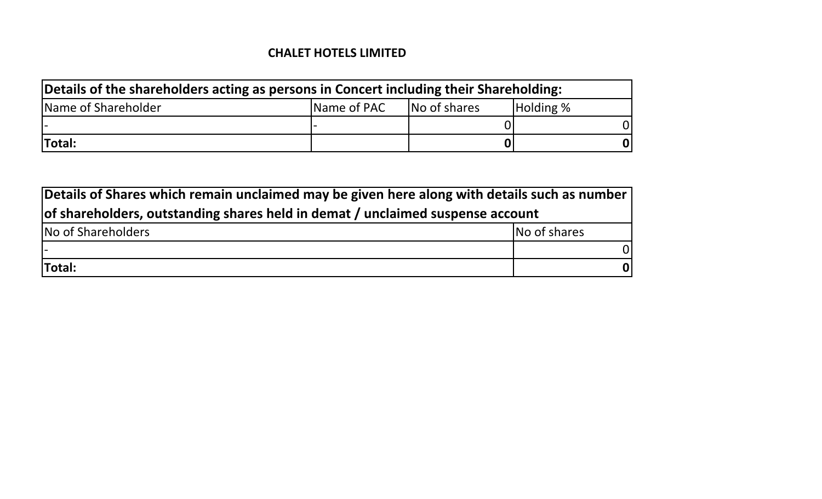| Details of the shareholders acting as persons in Concert including their Shareholding: |             |              |           |  |  |  |  |  |  |  |  |
|----------------------------------------------------------------------------------------|-------------|--------------|-----------|--|--|--|--|--|--|--|--|
| Name of Shareholder                                                                    | Name of PAC | No of shares | Holding % |  |  |  |  |  |  |  |  |
|                                                                                        |             |              |           |  |  |  |  |  |  |  |  |
| Total:                                                                                 |             |              | 01        |  |  |  |  |  |  |  |  |

| Details of Shares which remain unclaimed may be given here along with details such as number |              |  |  |  |  |  |  |  |  |  |
|----------------------------------------------------------------------------------------------|--------------|--|--|--|--|--|--|--|--|--|
| of shareholders, outstanding shares held in demat / unclaimed suspense account               |              |  |  |  |  |  |  |  |  |  |
| No of Shareholders                                                                           | No of shares |  |  |  |  |  |  |  |  |  |
|                                                                                              | 0I           |  |  |  |  |  |  |  |  |  |
| Total:                                                                                       | 01           |  |  |  |  |  |  |  |  |  |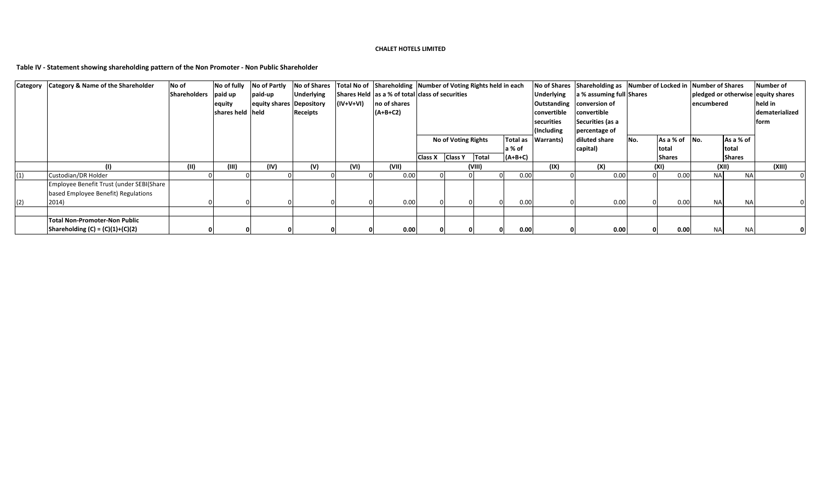**Table IV - Statement showing shareholding pattern of the Non Promoter - Non Public Shareholder**

| Category | <b>Category &amp; Name of the Shareholder</b> | No of               | No of fully      | No of Partly             | <b>No of Shares</b> |           |              | Total No of Shareholding Number of Voting Rights held in each |  |                            |                   |                          | No of Shares Shareholding as Number of Locked in Number of Shares |     |               |            | <b>Number of</b>                   |                |
|----------|-----------------------------------------------|---------------------|------------------|--------------------------|---------------------|-----------|--------------|---------------------------------------------------------------|--|----------------------------|-------------------|--------------------------|-------------------------------------------------------------------|-----|---------------|------------|------------------------------------|----------------|
|          |                                               | <b>Shareholders</b> | paid up          | paid-up                  | <b>Underlying</b>   |           |              | Shares Held as a % of total class of securities               |  |                            | <b>Underlying</b> | a % assuming full Shares |                                                                   |     |               |            | pledged or otherwise equity shares |                |
|          |                                               |                     | equity           | equity shares Depository |                     | (IV+V+VI) | no of shares |                                                               |  |                            |                   |                          | Outstanding conversion of                                         |     |               | encumbered |                                    | held in        |
|          |                                               |                     | shares held held |                          | <b>Receipts</b>     |           | $(A+B+C2)$   |                                                               |  |                            |                   | convertible              | convertible                                                       |     |               |            |                                    | dematerialized |
|          |                                               |                     |                  |                          |                     |           |              |                                                               |  |                            |                   | securities               | Securities (as a                                                  |     |               |            |                                    | form           |
|          |                                               |                     |                  |                          |                     |           |              |                                                               |  |                            | (Including        | percentage of            |                                                                   |     |               |            |                                    |                |
|          |                                               |                     |                  |                          |                     |           |              |                                                               |  | <b>No of Voting Rights</b> |                   | Total as   Warrants)     | diluted share                                                     | No. | As a % of     | No.        | As a % of                          |                |
|          |                                               |                     |                  |                          |                     |           |              |                                                               |  |                            | la % of           |                          | capital)                                                          |     | total         |            | total                              |                |
|          |                                               |                     |                  |                          |                     |           |              | Class X Class Y                                               |  | Total                      | $(A+B+C)$         |                          |                                                                   |     | <b>Shares</b> |            | <b>Shares</b>                      |                |
|          | (1)                                           | (11)                | (III)            | (IV)                     | (V)                 | (VI)      | (VII)        |                                                               |  | (VIII)                     |                   | (IX)                     | (X)                                                               |     | (XI)          | (XII)      |                                    | (XIII)         |
| (1)      | Custodian/DR Holder                           |                     |                  |                          |                     |           | 0.00         |                                                               |  |                            | 0.00<br>$\Omega$  |                          | 0.00                                                              |     | 0.00          | <b>NA</b>  | <b>NA</b>                          |                |
|          | Employee Benefit Trust (under SEBI(Share      |                     |                  |                          |                     |           |              |                                                               |  |                            |                   |                          |                                                                   |     |               |            |                                    |                |
|          | based Employee Benefit) Regulations           |                     |                  |                          |                     |           |              |                                                               |  |                            |                   |                          |                                                                   |     |               |            |                                    |                |
| (2)      | 2014)                                         |                     |                  |                          |                     |           | 0.00         |                                                               |  |                            | 0.00              |                          | 0.00                                                              |     | 0.00          | <b>NA</b>  | <b>NA</b>                          |                |
|          |                                               |                     |                  |                          |                     |           |              |                                                               |  |                            |                   |                          |                                                                   |     |               |            |                                    |                |
|          | <b>Total Non-Promoter-Non Public</b>          |                     |                  |                          |                     |           |              |                                                               |  |                            |                   |                          |                                                                   |     |               |            |                                    |                |
|          | Shareholding $(C) = (C)(1)+(C)(2)$            |                     |                  |                          |                     |           | 0.00         |                                                               |  |                            | 0.00<br>0         |                          | 0.00                                                              |     | 0.00          | <b>NA</b>  | <b>NA</b>                          |                |